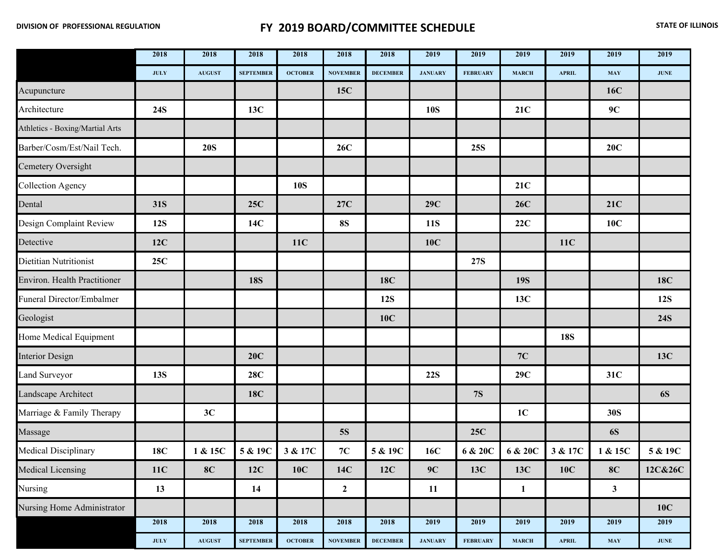## **FY 2019 BOARD/COMMITTEE SCHEDULE** *STATE OF ILLINOIS*

|                                 | 2018                                       | 2018          | 2018             | 2018           | 2018            | 2018            | 2019           | 2019            | 2019           | 2019          | 2019         | 2019          |
|---------------------------------|--------------------------------------------|---------------|------------------|----------------|-----------------|-----------------|----------------|-----------------|----------------|---------------|--------------|---------------|
|                                 | <b>JULY</b>                                | <b>AUGUST</b> | <b>SEPTEMBER</b> | <b>OCTOBER</b> | <b>NOVEMBER</b> | <b>DECEMBER</b> | <b>JANUARY</b> | <b>FEBRUARY</b> | <b>MARCH</b>   | <b>APRIL</b>  | <b>MAY</b>   | <b>JUNE</b>   |
| Acupuncture                     |                                            |               |                  |                | 15C             |                 |                |                 |                |               | <b>16C</b>   |               |
| Architecture                    | <b>24S</b>                                 |               | 13C              |                |                 |                 | <b>10S</b>     |                 | 21C            |               | 9C           |               |
| Athletics - Boxing/Martial Arts |                                            |               |                  |                |                 |                 |                |                 |                |               |              |               |
| Barber/Cosm/Est/Nail Tech.      |                                            | <b>20S</b>    |                  |                | 26C             |                 |                | <b>25S</b>      |                |               | 20C          |               |
| Cemetery Oversight              |                                            |               |                  |                |                 |                 |                |                 |                |               |              |               |
| <b>Collection Agency</b>        |                                            |               |                  | <b>10S</b>     |                 |                 |                |                 | 21C            |               |              |               |
| Dental                          | 31S                                        |               | 25C              |                | 27C             |                 | 29C            |                 | 26C            |               | <b>21C</b>   |               |
| Design Complaint Review         | <b>12S</b>                                 |               | 14C              |                | <b>8S</b>       |                 | <b>11S</b>     |                 | 22C            |               | 10C          |               |
| Detective                       | 12C                                        |               |                  | <b>11C</b>     |                 |                 | 10C            |                 |                | <b>11C</b>    |              |               |
| Dietitian Nutritionist          | 25C                                        |               |                  |                |                 |                 |                | <b>27S</b>      |                |               |              |               |
| Environ. Health Practitioner    |                                            |               | <b>18S</b>       |                |                 | <b>18C</b>      |                |                 | <b>19S</b>     |               |              | 18C           |
| Funeral Director/Embalmer       |                                            |               |                  |                |                 | <b>12S</b>      |                |                 | 13C            |               |              | <b>12S</b>    |
| Geologist                       |                                            |               |                  |                |                 | 10C             |                |                 |                |               |              | <b>24S</b>    |
| Home Medical Equipment          |                                            |               |                  |                |                 |                 |                |                 |                | <b>18S</b>    |              |               |
| <b>Interior Design</b>          |                                            |               | 20C              |                |                 |                 |                |                 | $7C$           |               |              | 13C           |
| Land Surveyor                   | <b>13S</b>                                 |               | <b>28C</b>       |                |                 |                 | <b>22S</b>     |                 | 29C            |               | 31C          |               |
| Landscape Architect             |                                            |               | 18C              |                |                 |                 |                | <b>7S</b>       |                |               |              | <b>6S</b>     |
| Marriage & Family Therapy       |                                            | 3C            |                  |                |                 |                 |                |                 | 1 <sub>C</sub> |               | 30S          |               |
| Massage                         |                                            |               |                  |                | <b>5S</b>       |                 |                | <b>25C</b>      |                |               | <b>6S</b>    |               |
| Medical Disciplinary            | <b>18C</b>                                 | 1 & 15C       | 5 & 19C          | 3 & 17C        | 7C              | 5 & 19C         | 16C            | 6 & 20C         | 6 & 20C        | 3 & 17C       | 1 & 15C      | 5 & 19C       |
| Medical Licensing               | 11C                                        | 8C            | 12C              | <b>10C</b>     | 14C             | 12C             | 9C             | 13C             | 13C            | 10C           | 8C           | 12C&26C       |
| Nursing                         | 13                                         |               | 14               |                | $\mathbf{2}$    |                 | 11             |                 | $\mathbf{1}$   |               | $\mathbf{3}$ |               |
| Nursing Home Administrator      |                                            |               |                  |                |                 |                 |                |                 |                |               |              | <b>10C</b>    |
|                                 | 2018                                       | 2018          | 2018             | 2018           | 2018            | 2018            | 2019           | 2019            | 2019           | 2019          | 2019         | 2019          |
|                                 | $\mathbf{J}\mathbf{U}\mathbf{L}\mathbf{Y}$ | <b>AUGUST</b> | <b>SEPTEMBER</b> | OCTOBER        | <b>NOVEMBER</b> | <b>DECEMBER</b> | <b>JANUARY</b> | <b>FEBRUARY</b> | <b>MARCH</b>   | ${\bf APRIL}$ | <b>MAY</b>   | $\bold{JUNE}$ |